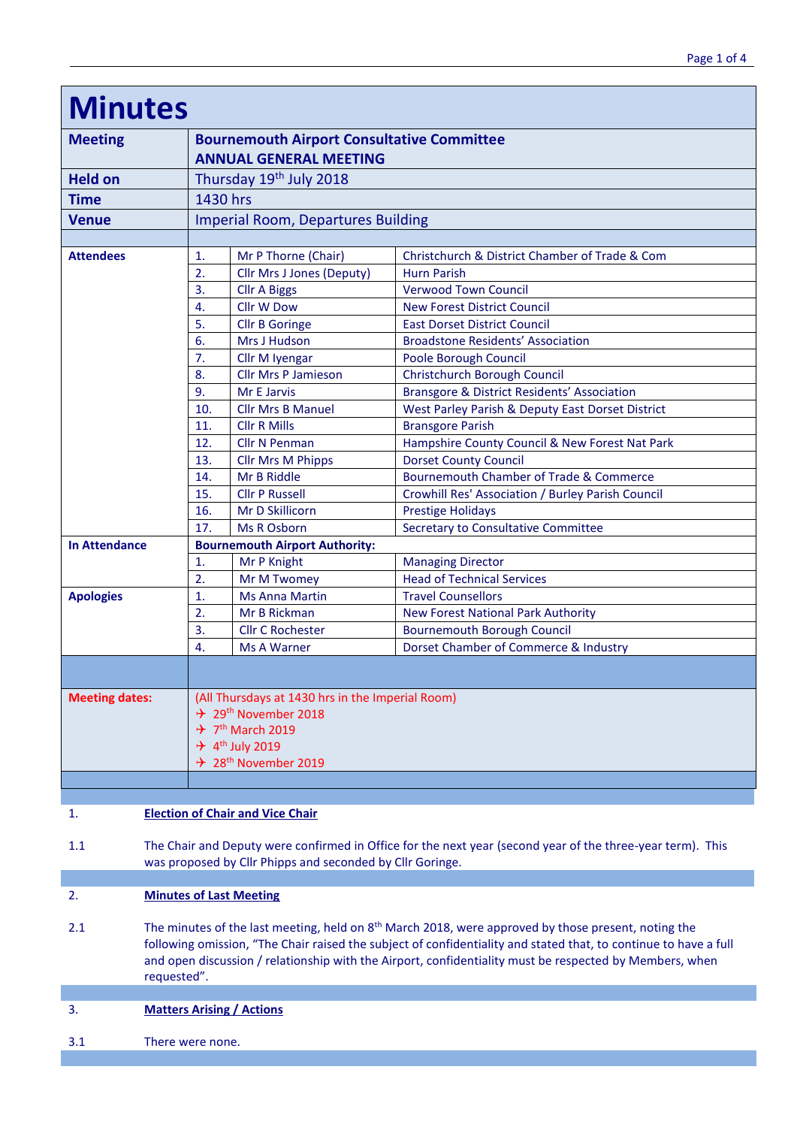| <b>Minutes</b>        |                                                                                    |                                                  |                                                        |  |  |
|-----------------------|------------------------------------------------------------------------------------|--------------------------------------------------|--------------------------------------------------------|--|--|
| <b>Meeting</b>        | <b>Bournemouth Airport Consultative Committee</b><br><b>ANNUAL GENERAL MEETING</b> |                                                  |                                                        |  |  |
| <b>Held on</b>        |                                                                                    | Thursday 19th July 2018                          |                                                        |  |  |
| Time                  | 1430 hrs                                                                           |                                                  |                                                        |  |  |
| <b>Venue</b>          | <b>Imperial Room, Departures Building</b>                                          |                                                  |                                                        |  |  |
|                       |                                                                                    |                                                  |                                                        |  |  |
| <b>Attendees</b>      | 1.                                                                                 | Mr P Thorne (Chair)                              | Christchurch & District Chamber of Trade & Com         |  |  |
|                       | 2.                                                                                 | <b>Cllr Mrs J Jones (Deputy)</b>                 | <b>Hurn Parish</b>                                     |  |  |
|                       | 3.                                                                                 | <b>Cllr A Biggs</b>                              | <b>Verwood Town Council</b>                            |  |  |
|                       | 4.                                                                                 | <b>Cllr W Dow</b>                                | <b>New Forest District Council</b>                     |  |  |
|                       | 5.                                                                                 | <b>Cllr B Goringe</b>                            | <b>East Dorset District Council</b>                    |  |  |
|                       | 6.                                                                                 | Mrs J Hudson                                     | <b>Broadstone Residents' Association</b>               |  |  |
|                       | 7.                                                                                 | Cllr M Iyengar                                   | Poole Borough Council                                  |  |  |
|                       | 8.                                                                                 | <b>Cllr Mrs P Jamieson</b>                       | <b>Christchurch Borough Council</b>                    |  |  |
|                       | 9.                                                                                 | Mr E Jarvis                                      | <b>Bransgore &amp; District Residents' Association</b> |  |  |
|                       | 10.                                                                                | <b>Cllr Mrs B Manuel</b>                         | West Parley Parish & Deputy East Dorset District       |  |  |
|                       | 11.                                                                                | <b>Cllr R Mills</b>                              | <b>Bransgore Parish</b>                                |  |  |
|                       | 12.                                                                                | <b>Cllr N Penman</b>                             | Hampshire County Council & New Forest Nat Park         |  |  |
|                       | 13.                                                                                | <b>Cllr Mrs M Phipps</b>                         | <b>Dorset County Council</b>                           |  |  |
|                       | 14.                                                                                | Mr B Riddle                                      | <b>Bournemouth Chamber of Trade &amp; Commerce</b>     |  |  |
|                       | 15.                                                                                | <b>Cllr P Russell</b>                            | Crowhill Res' Association / Burley Parish Council      |  |  |
|                       | 16.                                                                                | Mr D Skillicorn                                  | <b>Prestige Holidays</b>                               |  |  |
|                       | 17.                                                                                | <b>Ms R Osborn</b>                               | Secretary to Consultative Committee                    |  |  |
| <b>In Attendance</b>  | <b>Bournemouth Airport Authority:</b>                                              |                                                  |                                                        |  |  |
|                       | 1.                                                                                 | Mr P Knight                                      | <b>Managing Director</b>                               |  |  |
|                       | 2.                                                                                 | <b>Mr M Twomey</b>                               | <b>Head of Technical Services</b>                      |  |  |
| <b>Apologies</b>      | $\overline{1}$ .                                                                   | <b>Ms Anna Martin</b>                            | <b>Travel Counsellors</b>                              |  |  |
|                       | 2.                                                                                 | Mr B Rickman                                     | <b>New Forest National Park Authority</b>              |  |  |
|                       | 3.                                                                                 | <b>Cllr C Rochester</b>                          | <b>Bournemouth Borough Council</b>                     |  |  |
|                       | 4.                                                                                 | <b>Ms A Warner</b>                               | Dorset Chamber of Commerce & Industry                  |  |  |
|                       |                                                                                    |                                                  |                                                        |  |  |
| <b>Meeting dates:</b> |                                                                                    | (All Thursdays at 1430 hrs in the Imperial Room) |                                                        |  |  |
|                       |                                                                                    | $\div$ 29 <sup>th</sup> November 2018            |                                                        |  |  |
|                       | $\div$ 7 <sup>th</sup> March 2019                                                  |                                                  |                                                        |  |  |
|                       | $\div$ 4 <sup>th</sup> July 2019<br>$\div$ 28 <sup>th</sup> November 2019          |                                                  |                                                        |  |  |
|                       |                                                                                    |                                                  |                                                        |  |  |
|                       |                                                                                    |                                                  |                                                        |  |  |

# 1. **Election of Chair and Vice Chair**

1.1 The Chair and Deputy were confirmed in Office for the next year (second year of the three-year term). This was proposed by Cllr Phipps and seconded by Cllr Goringe.

## 2. **Minutes of Last Meeting**

2.1 The minutes of the last meeting, held on 8<sup>th</sup> March 2018, were approved by those present, noting the following omission, "The Chair raised the subject of confidentiality and stated that, to continue to have a full and open discussion / relationship with the Airport, confidentiality must be respected by Members, when requested".

## 3. **Matters Arising / Actions**

3.1 There were none.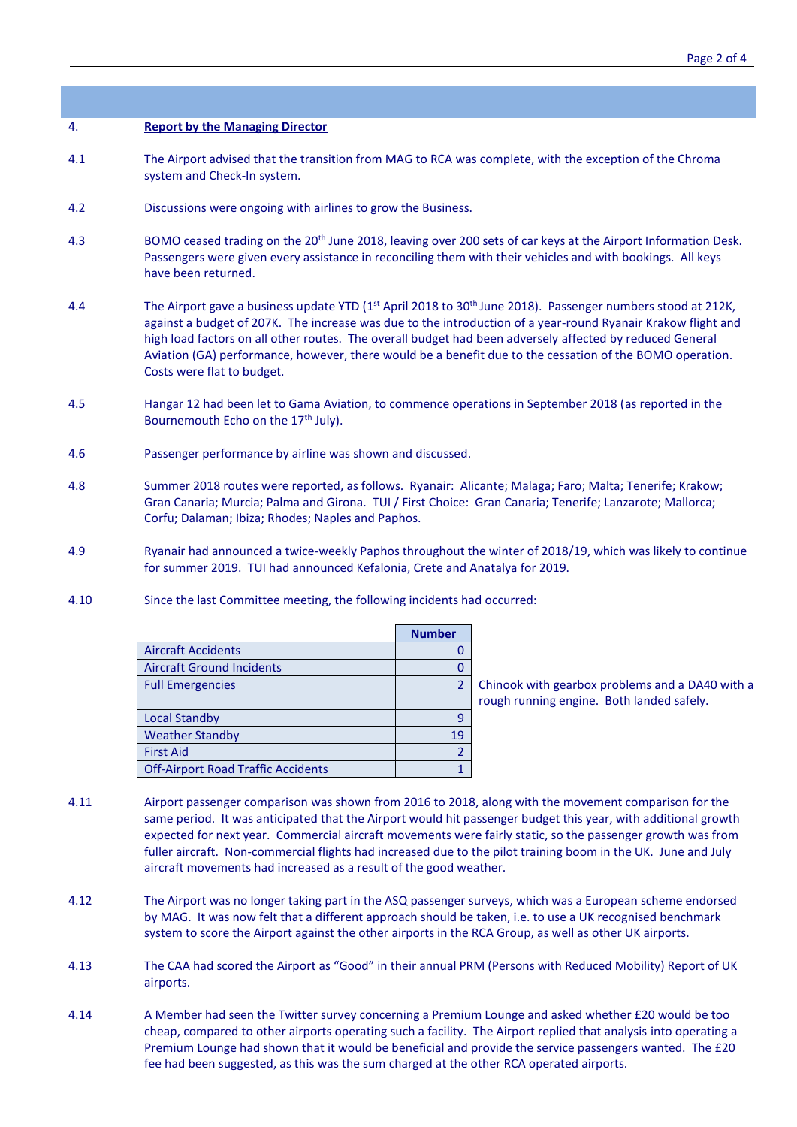## 4. **Report by the Managing Director**

- 4.1 The Airport advised that the transition from MAG to RCA was complete, with the exception of the Chroma system and Check-In system.
- 4.2 Discussions were ongoing with airlines to grow the Business.
- 4.3 BOMO ceased trading on the 20<sup>th</sup> June 2018, leaving over 200 sets of car keys at the Airport Information Desk. Passengers were given every assistance in reconciling them with their vehicles and with bookings. All keys have been returned.
- 4.4 The Airport gave a business update YTD ( $1<sup>st</sup>$  April 2018 to 30<sup>th</sup> June 2018). Passenger numbers stood at 212K, against a budget of 207K. The increase was due to the introduction of a year-round Ryanair Krakow flight and high load factors on all other routes. The overall budget had been adversely affected by reduced General Aviation (GA) performance, however, there would be a benefit due to the cessation of the BOMO operation. Costs were flat to budget.
- 4.5 Hangar 12 had been let to Gama Aviation, to commence operations in September 2018 (as reported in the Bournemouth Echo on the 17<sup>th</sup> July).
- 4.6 Passenger performance by airline was shown and discussed.
- 4.8 Summer 2018 routes were reported, as follows. Ryanair: Alicante; Malaga; Faro; Malta; Tenerife; Krakow; Gran Canaria; Murcia; Palma and Girona. TUI / First Choice: Gran Canaria; Tenerife; Lanzarote; Mallorca; Corfu; Dalaman; Ibiza; Rhodes; Naples and Paphos.
- 4.9 Ryanair had announced a twice-weekly Paphos throughout the winter of 2018/19, which was likely to continue for summer 2019. TUI had announced Kefalonia, Crete and Anatalya for 2019.
- 4.10 Since the last Committee meeting, the following incidents had occurred:

|                                           | <b>Number</b> |
|-------------------------------------------|---------------|
| <b>Aircraft Accidents</b>                 |               |
| <b>Aircraft Ground Incidents</b>          |               |
| <b>Full Emergencies</b>                   |               |
|                                           |               |
| <b>Local Standby</b>                      |               |
| <b>Weather Standby</b>                    | 19            |
| <b>First Aid</b>                          |               |
| <b>Off-Airport Road Traffic Accidents</b> |               |

Chinook with gearbox problems and a DA40 with a rough running engine. Both landed safely.

- 4.11 Airport passenger comparison was shown from 2016 to 2018, along with the movement comparison for the same period. It was anticipated that the Airport would hit passenger budget this year, with additional growth expected for next year. Commercial aircraft movements were fairly static, so the passenger growth was from fuller aircraft. Non-commercial flights had increased due to the pilot training boom in the UK. June and July aircraft movements had increased as a result of the good weather.
- 4.12 The Airport was no longer taking part in the ASQ passenger surveys, which was a European scheme endorsed by MAG. It was now felt that a different approach should be taken, i.e. to use a UK recognised benchmark system to score the Airport against the other airports in the RCA Group, as well as other UK airports.
- 4.13 The CAA had scored the Airport as "Good" in their annual PRM (Persons with Reduced Mobility) Report of UK airports.
- 4.14 A Member had seen the Twitter survey concerning a Premium Lounge and asked whether £20 would be too cheap, compared to other airports operating such a facility. The Airport replied that analysis into operating a Premium Lounge had shown that it would be beneficial and provide the service passengers wanted. The £20 fee had been suggested, as this was the sum charged at the other RCA operated airports.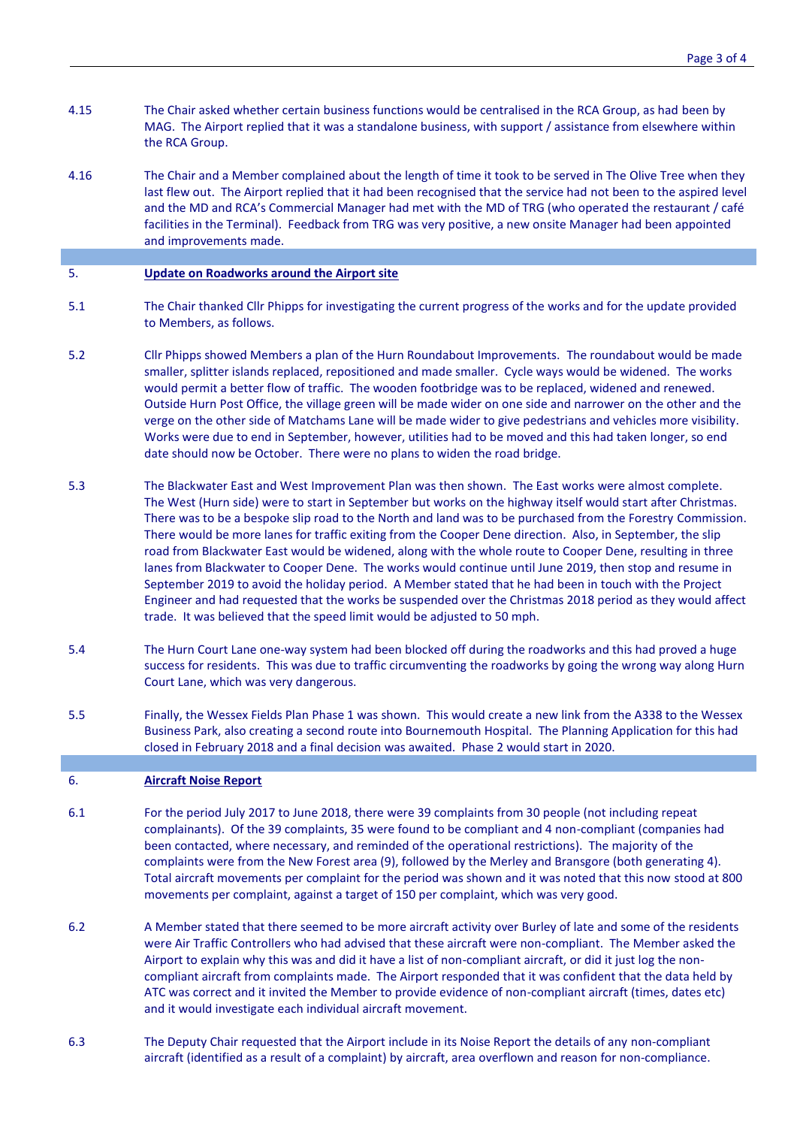- 4.15 The Chair asked whether certain business functions would be centralised in the RCA Group, as had been by MAG. The Airport replied that it was a standalone business, with support / assistance from elsewhere within the RCA Group.
- 4.16 The Chair and a Member complained about the length of time it took to be served in The Olive Tree when they last flew out. The Airport replied that it had been recognised that the service had not been to the aspired level and the MD and RCA's Commercial Manager had met with the MD of TRG (who operated the restaurant / café facilities in the Terminal). Feedback from TRG was very positive, a new onsite Manager had been appointed and improvements made.

#### 5. **Update on Roadworks around the Airport site**

- 5.1 The Chair thanked Cllr Phipps for investigating the current progress of the works and for the update provided to Members, as follows.
- 5.2 Cllr Phipps showed Members a plan of the Hurn Roundabout Improvements. The roundabout would be made smaller, splitter islands replaced, repositioned and made smaller. Cycle ways would be widened. The works would permit a better flow of traffic. The wooden footbridge was to be replaced, widened and renewed. Outside Hurn Post Office, the village green will be made wider on one side and narrower on the other and the verge on the other side of Matchams Lane will be made wider to give pedestrians and vehicles more visibility. Works were due to end in September, however, utilities had to be moved and this had taken longer, so end date should now be October. There were no plans to widen the road bridge.
- 5.3 The Blackwater East and West Improvement Plan was then shown. The East works were almost complete. The West (Hurn side) were to start in September but works on the highway itself would start after Christmas. There was to be a bespoke slip road to the North and land was to be purchased from the Forestry Commission. There would be more lanes for traffic exiting from the Cooper Dene direction. Also, in September, the slip road from Blackwater East would be widened, along with the whole route to Cooper Dene, resulting in three lanes from Blackwater to Cooper Dene. The works would continue until June 2019, then stop and resume in September 2019 to avoid the holiday period. A Member stated that he had been in touch with the Project Engineer and had requested that the works be suspended over the Christmas 2018 period as they would affect trade. It was believed that the speed limit would be adjusted to 50 mph.
- 5.4 The Hurn Court Lane one-way system had been blocked off during the roadworks and this had proved a huge success for residents. This was due to traffic circumventing the roadworks by going the wrong way along Hurn Court Lane, which was very dangerous.
- 5.5 Finally, the Wessex Fields Plan Phase 1 was shown. This would create a new link from the A338 to the Wessex Business Park, also creating a second route into Bournemouth Hospital. The Planning Application for this had closed in February 2018 and a final decision was awaited. Phase 2 would start in 2020.

#### 6. **Aircraft Noise Report**

- 6.1 For the period July 2017 to June 2018, there were 39 complaints from 30 people (not including repeat complainants). Of the 39 complaints, 35 were found to be compliant and 4 non-compliant (companies had been contacted, where necessary, and reminded of the operational restrictions). The majority of the complaints were from the New Forest area (9), followed by the Merley and Bransgore (both generating 4). Total aircraft movements per complaint for the period was shown and it was noted that this now stood at 800 movements per complaint, against a target of 150 per complaint, which was very good.
- 6.2 A Member stated that there seemed to be more aircraft activity over Burley of late and some of the residents were Air Traffic Controllers who had advised that these aircraft were non-compliant. The Member asked the Airport to explain why this was and did it have a list of non-compliant aircraft, or did it just log the noncompliant aircraft from complaints made. The Airport responded that it was confident that the data held by ATC was correct and it invited the Member to provide evidence of non-compliant aircraft (times, dates etc) and it would investigate each individual aircraft movement.
- 6.3 The Deputy Chair requested that the Airport include in its Noise Report the details of any non-compliant aircraft (identified as a result of a complaint) by aircraft, area overflown and reason for non-compliance.